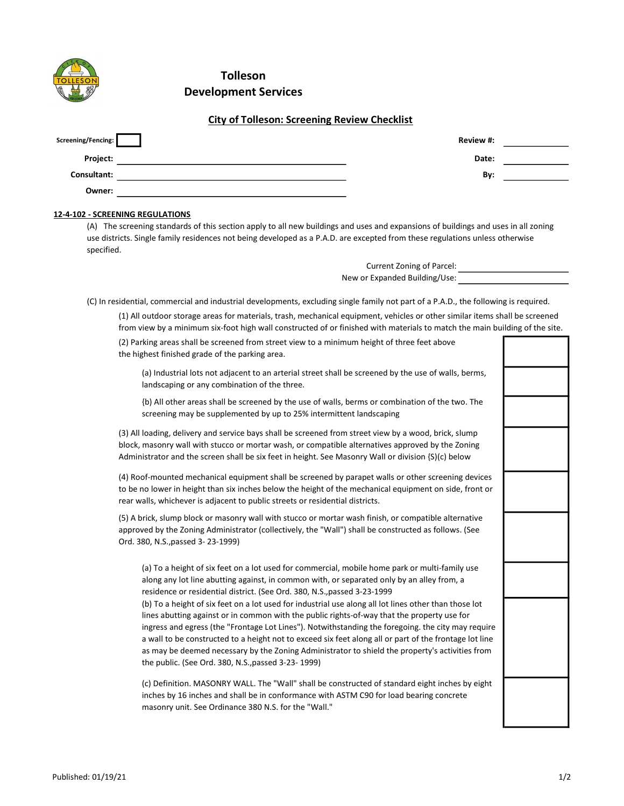| <b>Tolleson</b>             |
|-----------------------------|
| <b>Development Services</b> |

## City of Tolleson: Screening Review Checklist

| Screening/Fencing: | Review #: |  |
|--------------------|-----------|--|
| Project:           | Date:     |  |
| Consultant:        | By:       |  |
| Owner:             |           |  |

## 12-4-102 - SCREENING REGULATIONS

(A) The screening standards of this section apply to all new buildings and uses and expansions of buildings and uses in all zoning use districts. Single family residences not being developed as a P.A.D. are excepted from these regulations unless otherwise specified.

> Current Zoning of Parcel: New or Expanded Building/Use:

(C) In residential, commercial and industrial developments, excluding single family not part of a P.A.D., the following is required.

(1) All outdoor storage areas for materials, trash, mechanical equipment, vehicles or other similar items shall be screened from view by a minimum six-foot high wall constructed of or finished with materials to match the main building of the site.

| (2) Parking areas shall be screened from street view to a minimum height of three feet above<br>the highest finished grade of the parking area.                                                                                                                                                                                                                                                                                                                                                                                                                               |  |
|-------------------------------------------------------------------------------------------------------------------------------------------------------------------------------------------------------------------------------------------------------------------------------------------------------------------------------------------------------------------------------------------------------------------------------------------------------------------------------------------------------------------------------------------------------------------------------|--|
| (a) Industrial lots not adjacent to an arterial street shall be screened by the use of walls, berms,<br>landscaping or any combination of the three.                                                                                                                                                                                                                                                                                                                                                                                                                          |  |
| {b) All other areas shall be screened by the use of walls, berms or combination of the two. The<br>screening may be supplemented by up to 25% intermittent landscaping                                                                                                                                                                                                                                                                                                                                                                                                        |  |
| (3) All loading, delivery and service bays shall be screened from street view by a wood, brick, slump<br>block, masonry wall with stucco or mortar wash, or compatible alternatives approved by the Zoning<br>Administrator and the screen shall be six feet in height. See Masonry Wall or division {S)(c) below                                                                                                                                                                                                                                                             |  |
| (4) Roof-mounted mechanical equipment shall be screened by parapet walls or other screening devices<br>to be no lower in height than six inches below the height of the mechanical equipment on side, front or<br>rear walls, whichever is adjacent to public streets or residential districts.                                                                                                                                                                                                                                                                               |  |
| (5) A brick, slump block or masonry wall with stucco or mortar wash finish, or compatible alternative<br>approved by the Zoning Administrator (collectively, the "Wall") shall be constructed as follows. (See<br>Ord. 380, N.S., passed 3-23-1999)                                                                                                                                                                                                                                                                                                                           |  |
| (a) To a height of six feet on a lot used for commercial, mobile home park or multi-family use<br>along any lot line abutting against, in common with, or separated only by an alley from, a<br>residence or residential district. (See Ord. 380, N.S., passed 3-23-1999                                                                                                                                                                                                                                                                                                      |  |
| (b) To a height of six feet on a lot used for industrial use along all lot lines other than those lot<br>lines abutting against or in common with the public rights-of-way that the property use for<br>ingress and egress (the "Frontage Lot Lines"). Notwithstanding the foregoing. the city may require<br>a wall to be constructed to a height not to exceed six feet along all or part of the frontage lot line<br>as may be deemed necessary by the Zoning Administrator to shield the property's activities from<br>the public. (See Ord. 380, N.S., passed 3-23-1999) |  |
| (c) Definition. MASONRY WALL. The "Wall" shall be constructed of standard eight inches by eight<br>inches by 16 inches and shall be in conformance with ASTM C90 for load bearing concrete<br>masonry unit. See Ordinance 380 N.S. for the "Wall."                                                                                                                                                                                                                                                                                                                            |  |